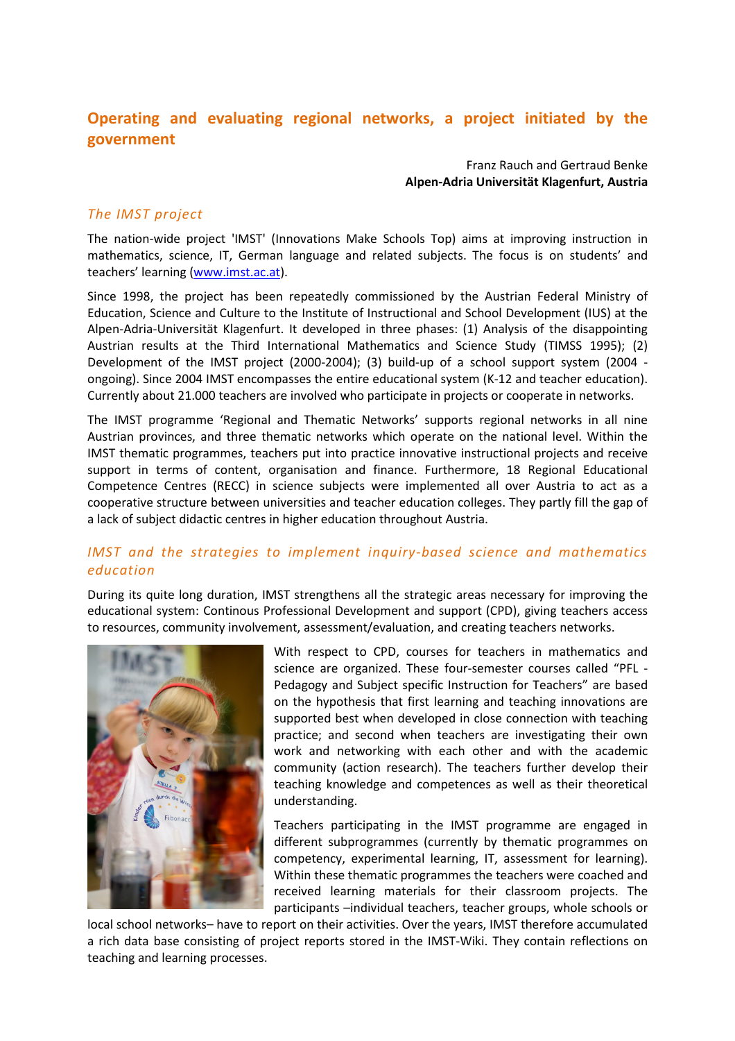# Operating and evaluating regional networks, a project initiated by the government

Franz Rauch and Gertraud Benke Alpen-Adria Universität Klagenfurt, Austria

#### The IMST project

The nation-wide project 'IMST' (Innovations Make Schools Top) aims at improving instruction in mathematics, science, IT, German language and related subjects. The focus is on students' and teachers' learning (www.imst.ac.at).

Since 1998, the project has been repeatedly commissioned by the Austrian Federal Ministry of Education, Science and Culture to the Institute of Instructional and School Development (IUS) at the Alpen-Adria-Universität Klagenfurt. It developed in three phases: (1) Analysis of the disappointing Austrian results at the Third International Mathematics and Science Study (TIMSS 1995); (2) Development of the IMST project (2000-2004); (3) build-up of a school support system (2004 ongoing). Since 2004 IMST encompasses the entire educational system (K-12 and teacher education). Currently about 21.000 teachers are involved who participate in projects or cooperate in networks.

The IMST programme 'Regional and Thematic Networks' supports regional networks in all nine Austrian provinces, and three thematic networks which operate on the national level. Within the IMST thematic programmes, teachers put into practice innovative instructional projects and receive support in terms of content, organisation and finance. Furthermore, 18 Regional Educational Competence Centres (RECC) in science subjects were implemented all over Austria to act as a cooperative structure between universities and teacher education colleges. They partly fill the gap of a lack of subject didactic centres in higher education throughout Austria.

## IMST and the strategies to implement inquiry-based science and mathematics education

During its quite long duration, IMST strengthens all the strategic areas necessary for improving the educational system: Continous Professional Development and support (CPD), giving teachers access to resources, community involvement, assessment/evaluation, and creating teachers networks.



With respect to CPD, courses for teachers in mathematics and science are organized. These four-semester courses called "PFL - Pedagogy and Subject specific Instruction for Teachers" are based on the hypothesis that first learning and teaching innovations are supported best when developed in close connection with teaching practice; and second when teachers are investigating their own work and networking with each other and with the academic community (action research). The teachers further develop their teaching knowledge and competences as well as their theoretical understanding.

Teachers participating in the IMST programme are engaged in different subprogrammes (currently by thematic programmes on competency, experimental learning, IT, assessment for learning). Within these thematic programmes the teachers were coached and received learning materials for their classroom projects. The participants –individual teachers, teacher groups, whole schools or

local school networks– have to report on their activities. Over the years, IMST therefore accumulated a rich data base consisting of project reports stored in the IMST-Wiki. They contain reflections on teaching and learning processes.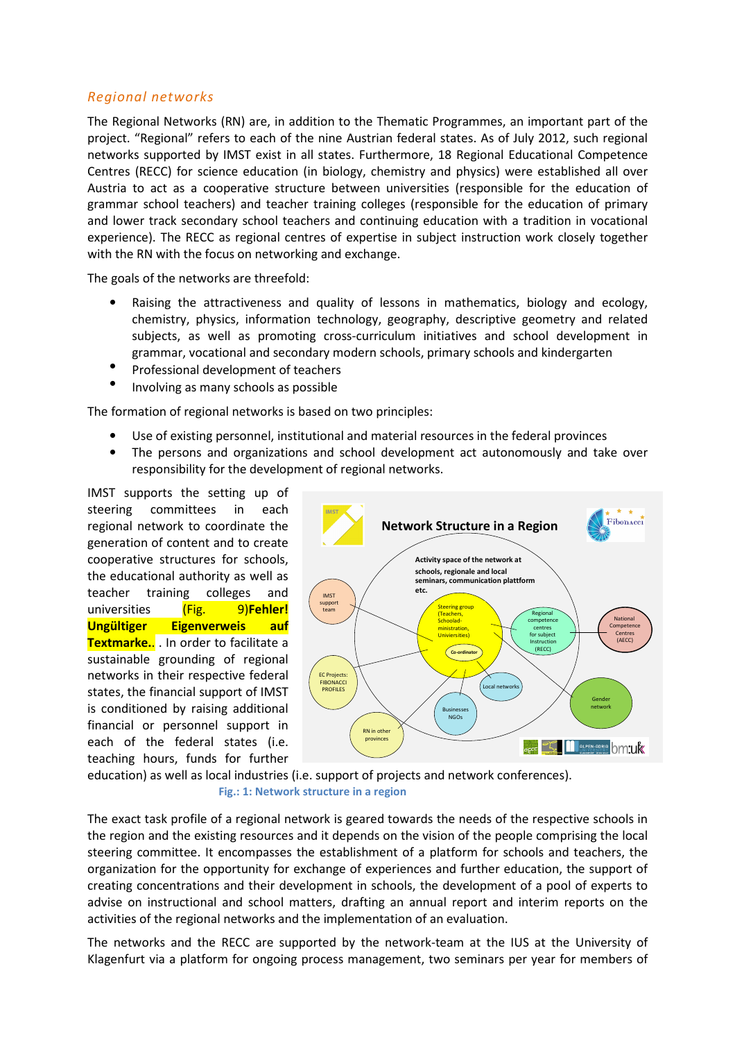#### Regional networks

The Regional Networks (RN) are, in addition to the Thematic Programmes, an important part of the project. "Regional" refers to each of the nine Austrian federal states. As of July 2012, such regional networks supported by IMST exist in all states. Furthermore, 18 Regional Educational Competence Centres (RECC) for science education (in biology, chemistry and physics) were established all over Austria to act as a cooperative structure between universities (responsible for the education of grammar school teachers) and teacher training colleges (responsible for the education of primary and lower track secondary school teachers and continuing education with a tradition in vocational experience). The RECC as regional centres of expertise in subject instruction work closely together with the RN with the focus on networking and exchange.

The goals of the networks are threefold:

- Raising the attractiveness and quality of lessons in mathematics, biology and ecology, chemistry, physics, information technology, geography, descriptive geometry and related subjects, as well as promoting cross-curriculum initiatives and school development in grammar, vocational and secondary modern schools, primary schools and kindergarten
- Professional development of teachers
- Involving as many schools as possible

The formation of regional networks is based on two principles:

- Use of existing personnel, institutional and material resources in the federal provinces
- The persons and organizations and school development act autonomously and take over responsibility for the development of regional networks.

IMST supports the setting up of steering committees in each regional network to coordinate the generation of content and to create cooperative structures for schools, the educational authority as well as teacher training colleges and universities (Fig. 9)Fehler! Ungültiger Eigenverweis auf Textmarke.. . In order to facilitate a sustainable grounding of regional networks in their respective federal states, the financial support of IMST is conditioned by raising additional financial or personnel support in each of the federal states (i.e. teaching hours, funds for further



education) as well as local industries (i.e. support of projects and network conferences). Fig.: 1: Network structure in a region

The exact task profile of a regional network is geared towards the needs of the respective schools in the region and the existing resources and it depends on the vision of the people comprising the local steering committee. It encompasses the establishment of a platform for schools and teachers, the organization for the opportunity for exchange of experiences and further education, the support of creating concentrations and their development in schools, the development of a pool of experts to advise on instructional and school matters, drafting an annual report and interim reports on the activities of the regional networks and the implementation of an evaluation.

The networks and the RECC are supported by the network-team at the IUS at the University of Klagenfurt via a platform for ongoing process management, two seminars per year for members of